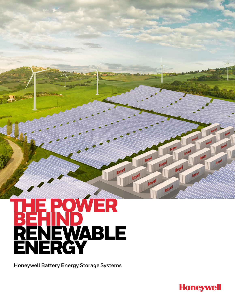## POWER **HENEWABLE**<br> **HONEWABLE**<br> **ENERGY**<br>
Honeywell Battery Energy Storage Systems

Honey!

**Honeywell** 

**Inner** 

Honeyve